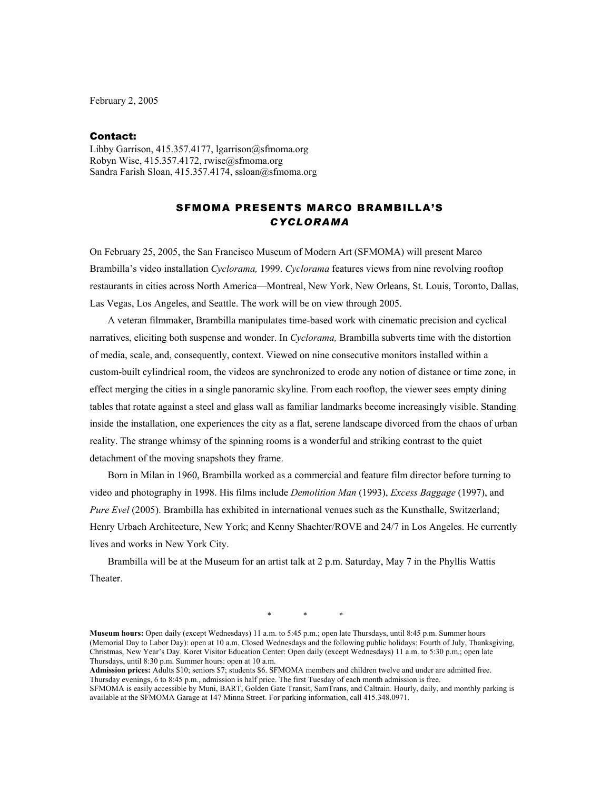February 2, 2005

## Contact:

Libby Garrison, 415.357.4177, lgarrison@sfmoma.org Robyn Wise, 415.357.4172, rwise@sfmoma.org Sandra Farish Sloan, 415.357.4174, ssloan@sfmoma.org

## SFMOMA PRESENTS MARCO BRAMBILLA'S *CYCLORAMA*

On February 25, 2005, the San Francisco Museum of Modern Art (SFMOMA) will present Marco Brambilla's video installation *Cyclorama,* 1999. *Cyclorama* features views from nine revolving rooftop restaurants in cities across North America—Montreal, New York, New Orleans, St. Louis, Toronto, Dallas, Las Vegas, Los Angeles, and Seattle. The work will be on view through 2005.

 A veteran filmmaker, Brambilla manipulates time-based work with cinematic precision and cyclical narratives, eliciting both suspense and wonder. In *Cyclorama,* Brambilla subverts time with the distortion of media, scale, and, consequently, context. Viewed on nine consecutive monitors installed within a custom-built cylindrical room, the videos are synchronized to erode any notion of distance or time zone, in effect merging the cities in a single panoramic skyline. From each rooftop, the viewer sees empty dining tables that rotate against a steel and glass wall as familiar landmarks become increasingly visible. Standing inside the installation, one experiences the city as a flat, serene landscape divorced from the chaos of urban reality. The strange whimsy of the spinning rooms is a wonderful and striking contrast to the quiet detachment of the moving snapshots they frame.

Born in Milan in 1960, Brambilla worked as a commercial and feature film director before turning to video and photography in 1998. His films include *Demolition Man* (1993), *Excess Baggage* (1997), and *Pure Evel* (2005). Brambilla has exhibited in international venues such as the Kunsthalle, Switzerland; Henry Urbach Architecture, New York; and Kenny Shachter/ROVE and 24/7 in Los Angeles. He currently lives and works in New York City.

Brambilla will be at the Museum for an artist talk at 2 p.m. Saturday, May 7 in the Phyllis Wattis Theater.

\* \* \*

**Museum hours:** Open daily (except Wednesdays) 11 a.m. to 5:45 p.m.; open late Thursdays, until 8:45 p.m. Summer hours (Memorial Day to Labor Day): open at 10 a.m. Closed Wednesdays and the following public holidays: Fourth of July, Thanksgiving, Christmas, New Year's Day. Koret Visitor Education Center: Open daily (except Wednesdays) 11 a.m. to 5:30 p.m.; open late Thursdays, until 8:30 p.m. Summer hours: open at 10 a.m.

**Admission prices:** Adults \$10; seniors \$7; students \$6. SFMOMA members and children twelve and under are admitted free. Thursday evenings, 6 to 8:45 p.m., admission is half price. The first Tuesday of each month admission is free. SFMOMA is easily accessible by Muni, BART, Golden Gate Transit, SamTrans, and Caltrain. Hourly, daily, and monthly parking is

available at the SFMOMA Garage at 147 Minna Street. For parking information, call 415.348.0971.